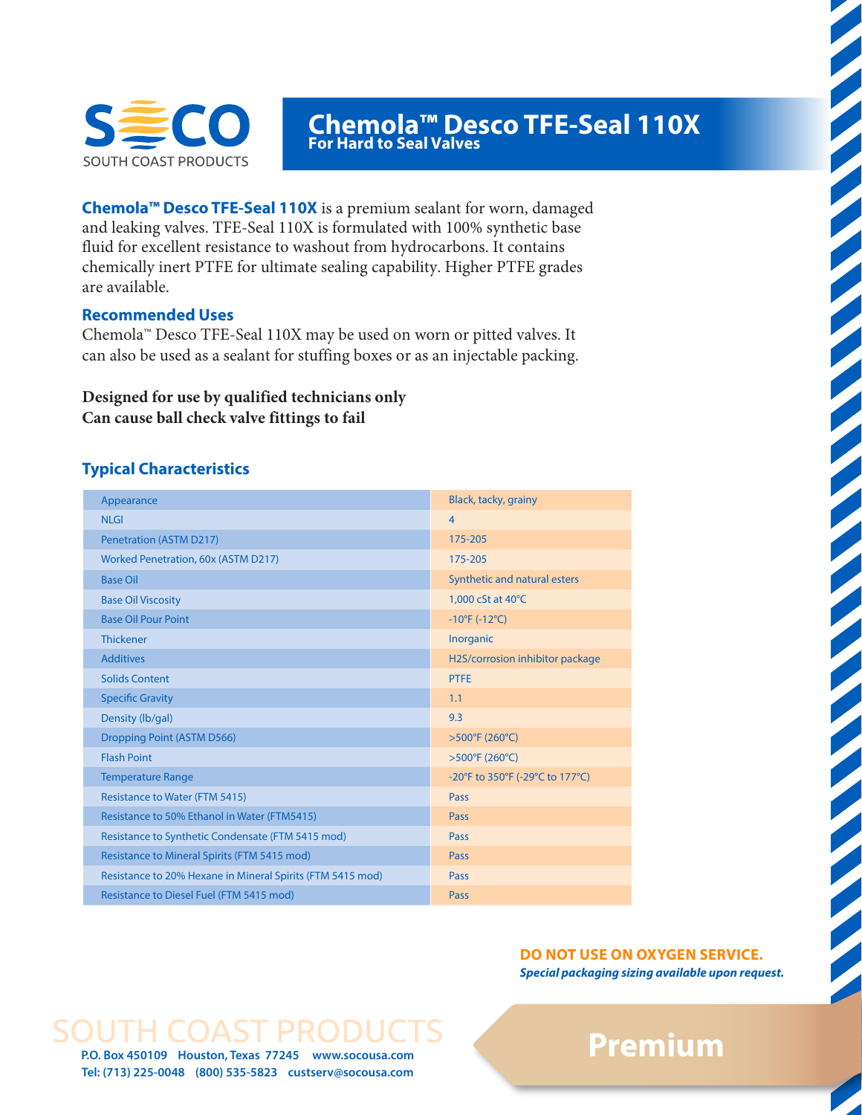

# **Chemola™ Desco TFE-Seal 110X For Hard to Seal Valves**

**Chemola™ Desco TFE-Seal 110X** is a premium sealant for worn, damaged and leaking valves. TFE-Seal 110X is formulated with 100% synthetic base fluid for excellent resistance to washout from hydrocarbons. It contains chemically inert PTFE for ultimate sealing capability. Higher PTFE grades are available.

### **Recommended Uses**

Chemola™ Desco TFE-Seal 110X may be used on worn or pitted valves. It can also be used as a sealant for stuffing boxes or as an injectable packing.

### **Designed for use by qualified technicians only Can cause ball check valve fittings to fail**

## **Typical Characteristics**

| Appearance                                                 | Black, tacky, grainy            |
|------------------------------------------------------------|---------------------------------|
| <b>NLGI</b>                                                | $\overline{4}$                  |
| Penetration (ASTM D217)                                    | 175-205                         |
| Worked Penetration, 60x (ASTM D217)                        | 175-205                         |
| <b>Base Oil</b>                                            | Synthetic and natural esters    |
| <b>Base Oil Viscosity</b>                                  | 1,000 cSt at 40°C               |
| <b>Base Oil Pour Point</b>                                 | $-10^{\circ}F(-12^{\circ}C)$    |
| <b>Thickener</b>                                           | Inorganic                       |
| <b>Additives</b>                                           | H2S/corrosion inhibitor package |
| <b>Solids Content</b>                                      | <b>PTFE</b>                     |
| <b>Specific Gravity</b>                                    | 1.1                             |
| Density (lb/gal)                                           | 9.3                             |
| Dropping Point (ASTM D566)                                 | >500°F (260°C)                  |
| <b>Flash Point</b>                                         | >500°F (260°C)                  |
| <b>Temperature Range</b>                                   | -20°F to 350°F (-29°C to 177°C) |
| <b>Resistance to Water (FTM 5415)</b>                      | Pass                            |
| Resistance to 50% Ethanol in Water (FTM5415)               | Pass                            |
| Resistance to Synthetic Condensate (FTM 5415 mod)          | Pass                            |
| Resistance to Mineral Spirits (FTM 5415 mod)               | Pass                            |
| Resistance to 20% Hexane in Mineral Spirits (FTM 5415 mod) | Pass                            |
| Resistance to Diesel Fuel (FTM 5415 mod)                   | Pass                            |

### **DO NOT USE ON OXYGEN SERVICE.** *Special packaging sizing available upon request.*

# **P.O. Box 450109 Houston, Texas 77245 www.socousa.com Premium**

**Tel: (713) 225-0048 (800) 535-5823 custserv@socousa.com**